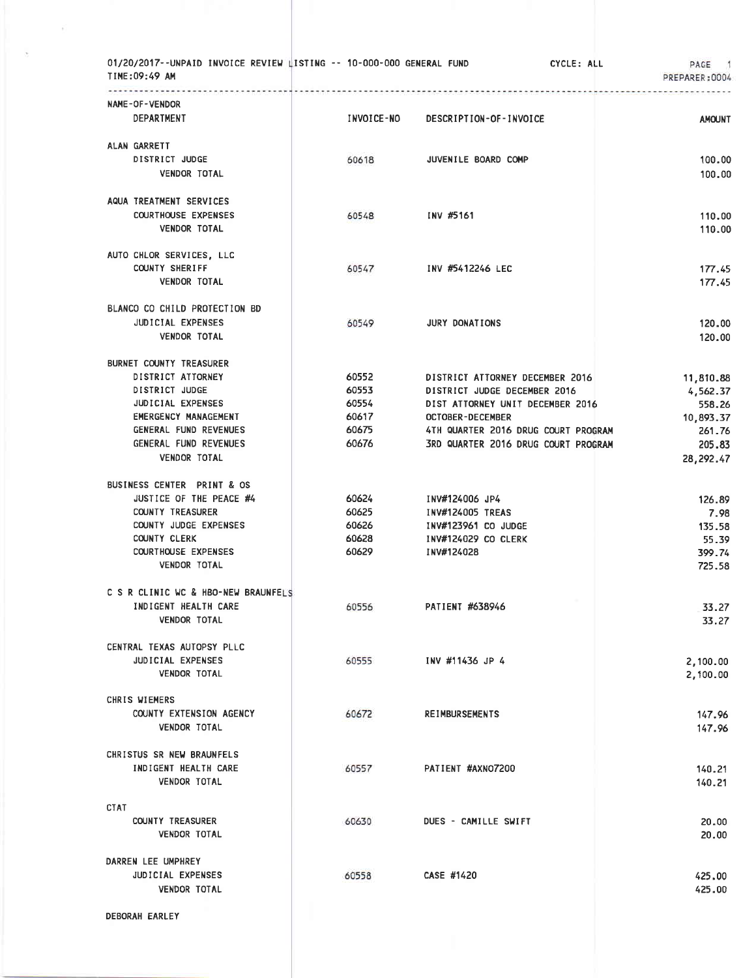| 01/20/2017--UNPAID INVOICE REVIEW LISTING -- 10-000-000 GENERAL FUND<br>TIME:09:49 AM |                |                                     | CYCLE: ALL | PAGE 1<br>PREPARER: 0004 |
|---------------------------------------------------------------------------------------|----------------|-------------------------------------|------------|--------------------------|
| NAME-OF-VENDOR                                                                        |                |                                     |            |                          |
| <b>DEPARTMENT</b>                                                                     | INVOICE-NO     | DESCRIPTION-OF-INVOICE              |            | <b>AMOUNT</b>            |
| ALAN GARRETT                                                                          |                |                                     |            |                          |
| DISTRICT JUDGE                                                                        | 60618          | JUVENILE BOARD COMP                 |            | 100.00                   |
| <b>VENDOR TOTAL</b>                                                                   |                |                                     |            | 100.00                   |
| AQUA TREATMENT SERVICES                                                               |                |                                     |            |                          |
| <b>COURTHOUSE EXPENSES</b>                                                            | 60548          | INV #5161                           |            | 110.00                   |
| <b>VENDOR TOTAL</b>                                                                   |                |                                     |            | 110.00                   |
| AUTO CHLOR SERVICES, LLC                                                              |                |                                     |            |                          |
| <b>COUNTY SHERIFF</b>                                                                 | 60547          | INV #5412246 LEC                    |            | 177.45                   |
| <b>VENDOR TOTAL</b>                                                                   |                |                                     |            | 177.45                   |
| BLANCO CO CHILD PROTECTION BD                                                         |                |                                     |            |                          |
| JUDICIAL EXPENSES                                                                     | 60549          | <b>JURY DONATIONS</b>               |            | 120.00                   |
| <b>VENDOR TOTAL</b>                                                                   |                |                                     |            | 120.00                   |
| BURNET COUNTY TREASURER                                                               |                |                                     |            |                          |
| DISTRICT ATTORNEY                                                                     | 60552          | DISTRICT ATTORNEY DECEMBER 2016     |            | 11,810.88                |
| DISTRICT JUDGE                                                                        | 60553          | DISTRICT JUDGE DECEMBER 2016        |            | 4,562.37                 |
| <b>JUDICIAL EXPENSES</b>                                                              | 60554          | DIST ATTORNEY UNIT DECEMBER 2016    |            | 558.26                   |
| <b>EMERGENCY MANAGEMENT</b>                                                           | 60617          | <b>OCTOBER-DECEMBER</b>             |            | 10,893.37                |
| GENERAL FUND REVENUES<br>GENERAL FUND REVENUES                                        | 60675<br>60676 | 4TH QUARTER 2016 DRUG COURT PROGRAM |            | 261.76                   |
| <b>VENDOR TOTAL</b>                                                                   |                | 3RD QUARTER 2016 DRUG COURT PROGRAM |            | 205.83<br>28, 292.47     |
| BUSINESS CENTER PRINT & OS                                                            |                |                                     |            |                          |
| JUSTICE OF THE PEACE #4                                                               | 60624          | INV#124006 JP4                      |            | 126.89                   |
| <b>COUNTY TREASURER</b>                                                               | 60625          | INV#124005 TREAS                    |            | 7.98                     |
| COUNTY JUDGE EXPENSES                                                                 | 60626          | INV#123961 CO JUDGE                 |            | 135.58                   |
| COUNTY CLERK                                                                          | 60628          | <b>INV#124029 CO CLERK</b>          |            | 55.39                    |
| <b>COURTHOUSE EXPENSES</b>                                                            | 60629          | INV#124028                          |            | 399.74                   |
| <b>VENDOR TOTAL</b>                                                                   |                |                                     |            | 725.58                   |
| C S R CLINIC WC & HBO-NEW BRAUNFELS                                                   |                |                                     |            |                          |
| INDIGENT HEALTH CARE                                                                  | 60556          | PATIENT #638946                     |            | 33.27                    |
| <b>VENDOR TOTAL</b>                                                                   |                |                                     |            | 33.27                    |
| CENTRAL TEXAS AUTOPSY PLLC                                                            |                |                                     |            |                          |
| <b>JUDICIAL EXPENSES</b>                                                              | 60555          | INV #11436 JP 4                     |            | 2,100.00                 |
| <b>VENDOR TOTAL</b>                                                                   |                |                                     |            | 2,100.00                 |
| CHRIS WIEMERS                                                                         |                |                                     |            |                          |
| COUNTY EXTENSION AGENCY<br><b>VENDOR TOTAL</b>                                        | 60672          | <b>REIMBURSEMENTS</b>               |            | 147.96<br>147.96         |
|                                                                                       |                |                                     |            |                          |
| CHRISTUS SR NEW BRAUNFELS                                                             |                |                                     |            |                          |
| INDIGENT HEALTH CARE                                                                  | 60557          | PATIENT #AXNO7200                   |            | 140.21                   |
| <b>VENDOR TOTAL</b>                                                                   |                |                                     |            | 140.21                   |
| <b>CTAT</b>                                                                           |                |                                     |            |                          |
| <b>COUNTY TREASURER</b>                                                               | 60630          | DUES - CAMILLE SWIFT                |            | 20.00                    |
| <b>VENDOR TOTAL</b>                                                                   |                |                                     |            | 20.00                    |
| DARREN LEE UMPHREY                                                                    |                |                                     |            |                          |
| JUDICIAL EXPENSES                                                                     | 60558          | CASE #1420                          |            | 425,00                   |
| <b>VENDOR TOTAL</b>                                                                   |                |                                     |            | 425.00                   |
| DEBORAH EARLEY                                                                        |                |                                     |            |                          |

 $\tilde{\epsilon}$ 

 $\sigma$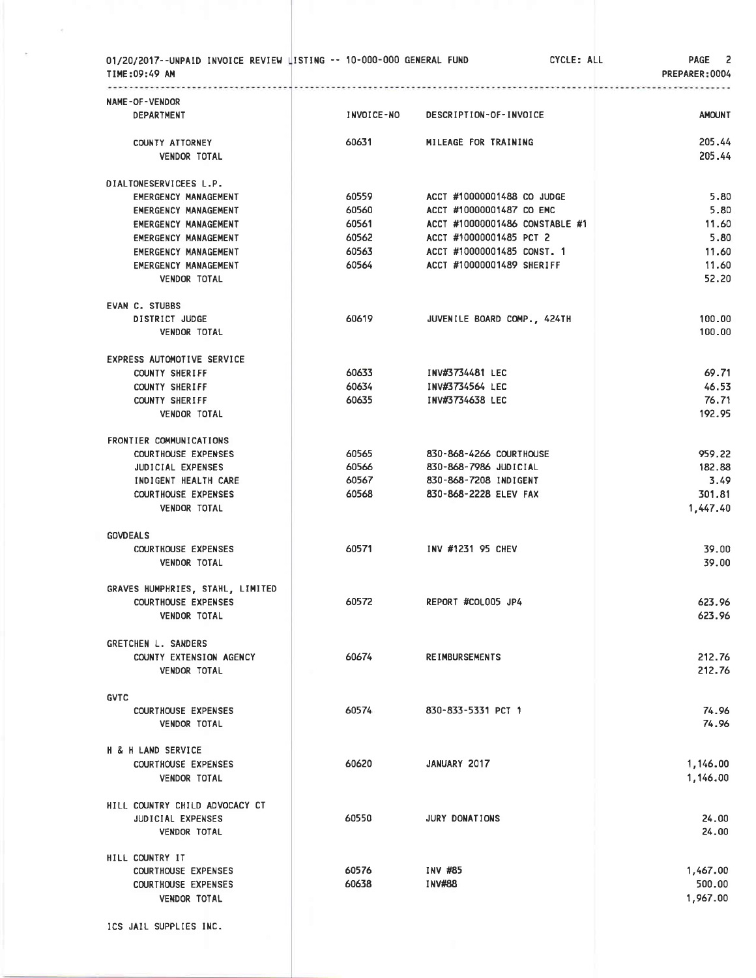| 01/20/2017--UNPAID INVOICE REVIEW LISTING -- 10-000-000 GENERAL FUND<br>TIME:09:49 AM |            |                                | CYCLE: ALL | PAGE <sub>2</sub><br>PREPARER: 0004 |
|---------------------------------------------------------------------------------------|------------|--------------------------------|------------|-------------------------------------|
| NAME-OF-VENDOR                                                                        |            |                                |            |                                     |
| <b>DEPARTMENT</b>                                                                     | INVOICE-NO | DESCRIPTION-OF-INVOICE         |            | <b>AMOUNT</b>                       |
| COUNTY ATTORNEY                                                                       | 60631      | MILEAGE FOR TRAINING           |            | 205.44                              |
| <b>VENDOR TOTAL</b>                                                                   |            |                                |            | 205.44                              |
| DIALTONESERVICEES L.P.                                                                |            |                                |            |                                     |
| <b>EMERGENCY MANAGEMENT</b>                                                           | 60559      | ACCT #10000001488 CO JUDGE     |            | 5.80                                |
| <b>EMERGENCY MANAGEMENT</b>                                                           | 60560      | ACCT #10000001487 CO EMC       |            | 5.80                                |
| EMERGENCY MANAGEMENT                                                                  | 60561      | ACCT #10000001486 CONSTABLE #1 |            | 11.60                               |
| <b>EMERGENCY MANAGEMENT</b>                                                           | 60562      | ACCT #10000001485 PCT 2        |            | 5.80                                |
| EMERGENCY MANAGEMENT                                                                  | 60563      | ACCT #10000001485 CONST. 1     |            | 11.60                               |
| EMERGENCY MANAGEMENT                                                                  | 60564      | ACCT #10000001489 SHERIFF      |            | 11.60                               |
| <b>VENDOR TOTAL</b>                                                                   |            |                                |            | 52.20                               |
| <b>EVAN C. STUBBS</b>                                                                 |            |                                |            |                                     |
| DISTRICT JUDGE                                                                        | 60619      | JUVENILE BOARD COMP., 424TH    |            | 100.00                              |
| VENDOR TOTAL                                                                          |            |                                |            | 100.00                              |
| EXPRESS AUTOMOTIVE SERVICE                                                            |            |                                |            |                                     |
| <b>COUNTY SHERIFF</b>                                                                 | 60633      | INV#3734481 LEC                |            | 69.71                               |
| <b>COUNTY SHERIFF</b>                                                                 | 60634      | INV#3734564 LEC                |            | 46.53                               |
| <b>COUNTY SHERIFF</b>                                                                 | 60635      | INV#3734638 LEC                |            | 76.71                               |
| <b>VENDOR TOTAL</b>                                                                   |            |                                |            | 192.95                              |
| FRONTIER COMMUNICATIONS                                                               |            |                                |            |                                     |
| <b>COURTHOUSE EXPENSES</b>                                                            | 60565      | 830-868-4266 COURTHOUSE        |            | 959.22                              |
| JUDICIAL EXPENSES                                                                     | 60566      | 830-868-7986 JUDICIAL          |            | 182.88                              |
| INDIGENT HEALTH CARE                                                                  | 60567      | 830-868-7208 INDIGENT          |            | 3.49                                |
| <b>COURTHOUSE EXPENSES</b>                                                            | 60568      | 830-868-2228 ELEV FAX          |            | 301.81                              |
| <b>VENDOR TOTAL</b>                                                                   |            |                                |            | 1,447.40                            |
| <b>GOVDEALS</b>                                                                       |            |                                |            |                                     |
| <b>COURTHOUSE EXPENSES</b>                                                            | 60571      | INV #1231 95 CHEV              |            | 39.00                               |
| <b>VENDOR TOTAL</b>                                                                   |            |                                |            | 39.00                               |
| GRAVES HUMPHRIES, STAHL, LIMITED                                                      |            |                                |            |                                     |
| COURTHOUSE EXPENSES                                                                   | 60572      | REPORT #COLOO5 JP4             |            | 623.96                              |
| <b>VENDOR TOTAL</b>                                                                   |            |                                |            | 623.96                              |
| GRETCHEN L. SANDERS                                                                   |            |                                |            |                                     |
| COUNTY EXTENSION AGENCY                                                               | 60674      | <b>REIMBURSEMENTS</b>          |            | 212.76                              |
| <b>VENDOR TOTAL</b>                                                                   |            |                                |            | 212.76                              |
| <b>GVTC</b>                                                                           |            |                                |            |                                     |
| <b>COURTHOUSE EXPENSES</b>                                                            | 60574      | 830-833-5331 PCT 1             |            | 74.96                               |
| <b>VENDOR TOTAL</b>                                                                   |            |                                |            | 74.96                               |
| H & H LAND SERVICE                                                                    |            |                                |            |                                     |
| <b>COURTHOUSE EXPENSES</b>                                                            | 60620      | JANUARY 2017                   |            | 1,146.00                            |
| <b>VENDOR TOTAL</b>                                                                   |            |                                |            | 1,146.00                            |
| HILL COUNTRY CHILD ADVOCACY CT                                                        |            |                                |            |                                     |
| JUDICIAL EXPENSES                                                                     | 60550      | JURY DONATIONS                 |            | 24.00                               |
| <b>VENDOR TOTAL</b>                                                                   |            |                                |            | 24.00                               |
| HILL COUNTRY IT                                                                       |            |                                |            |                                     |
| <b>COURTHOUSE EXPENSES</b>                                                            | 60576      | INV #85                        |            | 1,467.00                            |
| <b>COURTHOUSE EXPENSES</b>                                                            | 60638      | <b>INV#88</b>                  |            | 500.00                              |
| <b>VENDOR TOTAL</b>                                                                   |            |                                |            | 1,967.00                            |
| ICS JAIL SUPPLIES INC.                                                                |            |                                |            |                                     |
|                                                                                       |            |                                |            |                                     |
|                                                                                       |            |                                |            |                                     |

 $\langle\sigma\rangle$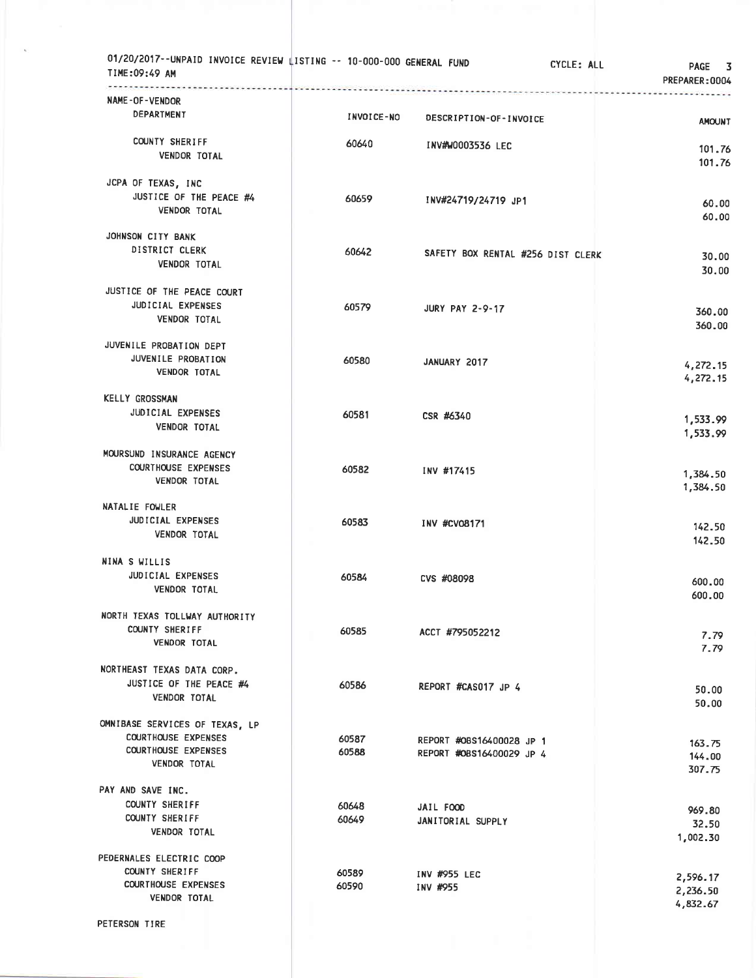| 01/20/2017--UNPAID INVOICE REVIEW LISTING -- 10-000-000 GENERAL FUND<br>TIME:09:49 AM                             | . |                |                                                      | CYCLE: ALL | <b>PAGE</b><br>3<br>PREPARER: 0004 |
|-------------------------------------------------------------------------------------------------------------------|---|----------------|------------------------------------------------------|------------|------------------------------------|
| NAME-OF-VENDOR<br>DEPARTMENT                                                                                      |   | INVOICE-NO     | DESCRIPTION-OF-INVOICE                               |            | <b>AMOUNT</b>                      |
| COUNTY SHERIFF<br><b>VENDOR TOTAL</b>                                                                             |   | 60640          | <b>INV#W0003536 LEC</b>                              |            | 101.76<br>101.76                   |
| JCPA OF TEXAS, INC<br>JUSTICE OF THE PEACE #4<br><b>VENDOR TOTAL</b>                                              |   | 60659          | INV#24719/24719 JP1                                  |            | 60.00<br>60.00                     |
| JOHNSON CITY BANK<br>DISTRICT CLERK<br><b>VENDOR TOTAL</b>                                                        |   | 60642          | SAFETY BOX RENTAL #256 DIST CLERK                    |            | 30.00<br>30,00                     |
| JUSTICE OF THE PEACE COURT<br>JUDICIAL EXPENSES<br>VENDOR TOTAL                                                   |   | 60579          | <b>JURY PAY 2-9-17</b>                               |            | 360.00<br>360.00                   |
| JUVENILE PROBATION DEPT<br>JUVENILE PROBATION<br><b>VENDOR TOTAL</b>                                              |   | 60580          | JANUARY 2017                                         |            | 4,272.15<br>4,272.15               |
| <b>KELLY GROSSMAN</b><br>JUDICIAL EXPENSES<br><b>VENDOR TOTAL</b>                                                 |   | 60581          | CSR #6340                                            |            | 1,533.99<br>1,533.99               |
| MOURSUND INSURANCE AGENCY<br><b>COURTHOUSE EXPENSES</b><br><b>VENDOR TOTAL</b>                                    |   | 60582          | INV #17415                                           |            | 1,384.50<br>1,384.50               |
| NATALIE FOWLER<br>JUDICIAL EXPENSES<br><b>VENDOR TOTAL</b>                                                        |   | 60583          | INV #CV08171                                         |            | 142.50<br>142.50                   |
| NINA S WILLIS<br><b>JUDICIAL EXPENSES</b><br><b>VENDOR TOTAL</b>                                                  |   | 60584          | <b>CVS #08098</b>                                    |            | 600.00<br>600.00                   |
| NORTH TEXAS TOLLWAY AUTHORITY<br><b>COUNTY SHERIFF</b><br><b>VENDOR TOTAL</b>                                     |   | 60585          | ACCT #795052212                                      |            | 7.79<br>7.79                       |
| NORTHEAST TEXAS DATA CORP.<br>JUSTICE OF THE PEACE #4<br>VENDOR TOTAL                                             |   | 60586          | REPORT #CAS017 JP 4                                  |            | 50.00<br>50.00                     |
| OMNIBASE SERVICES OF TEXAS, LP<br><b>COURTHOUSE EXPENSES</b><br><b>COURTHOUSE EXPENSES</b><br><b>VENDOR TOTAL</b> |   | 60587<br>60588 | REPORT #OBS16400028 JP 1<br>REPORT #OBS16400029 JP 4 |            | 163.75<br>144.00<br>307.75         |
| PAY AND SAVE INC.<br><b>COUNTY SHERIFF</b><br><b>COUNTY SHERIFF</b><br><b>VENDOR TOTAL</b>                        |   | 60648<br>60649 | JAIL FOOD<br>JANITORIAL SUPPLY                       |            | 969.80<br>32.50<br>1,002.30        |
| PEDERNALES ELECTRIC COOP<br><b>COUNTY SHERIFF</b><br><b>COURTHOUSE EXPENSES</b><br><b>VENDOR TOTAL</b>            |   | 60589<br>60590 | INV #955 LEC<br>INV #955                             |            | 2,596.17<br>2,236.50<br>4,832.67   |
| PETERSON TIRE                                                                                                     |   |                |                                                      |            |                                    |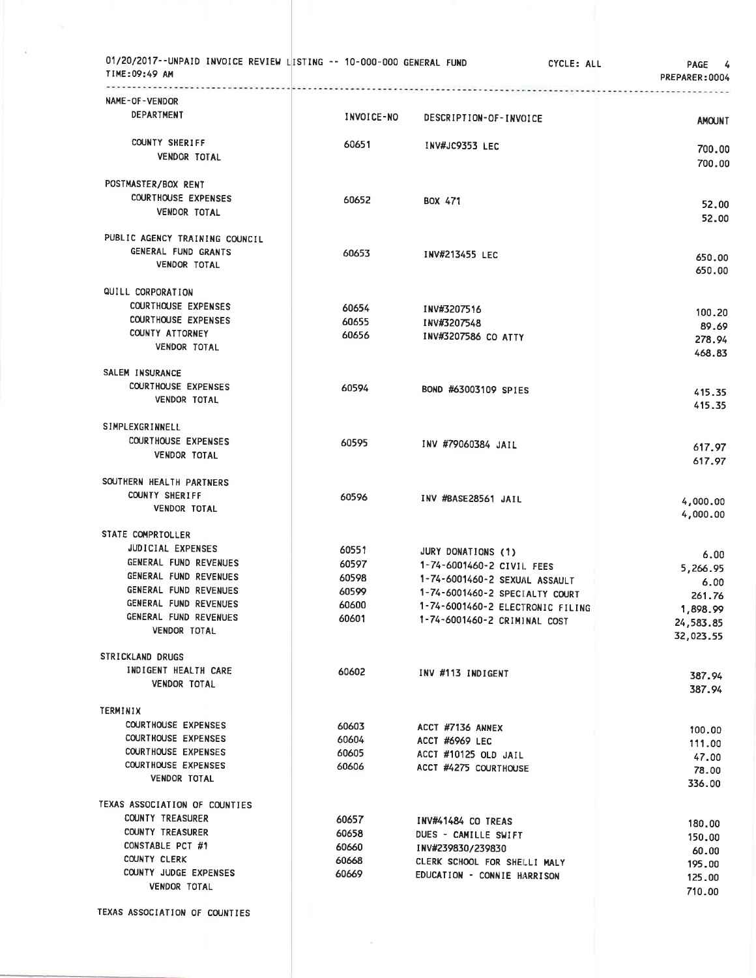| 01/20/2017--UNPAID INVOICE REVIEW LISTING -- 10-000-000 GENERAL FUND<br>TIME:09:49 AM | dia article de la constancia de la constancia de la constancia de la constancia de la constancia de la constancia | CYCLE: ALL                       | PAGE 4<br>PREPARER:0004 |
|---------------------------------------------------------------------------------------|-------------------------------------------------------------------------------------------------------------------|----------------------------------|-------------------------|
| NAME-OF-VENDOR                                                                        |                                                                                                                   |                                  |                         |
| DEPARTMENT                                                                            | INVOICE-NO                                                                                                        | DESCRIPTION-OF-INVOICE           | <b>AMOUNT</b>           |
| COUNTY SHERIFF                                                                        | 60651                                                                                                             | <b>INV#JC9353 LEC</b>            |                         |
| <b>VENDOR TOTAL</b>                                                                   |                                                                                                                   |                                  | 700.00<br>700.00        |
| POSTMASTER/BOX RENT                                                                   |                                                                                                                   |                                  |                         |
| <b>COURTHOUSE EXPENSES</b>                                                            | 60652                                                                                                             | BOX 471                          | 52.00                   |
| VENDOR TOTAL                                                                          |                                                                                                                   |                                  | 52.00                   |
| PUBLIC AGENCY TRAINING COUNCIL                                                        |                                                                                                                   |                                  |                         |
| GENERAL FUND GRANTS                                                                   | 60653                                                                                                             | INV#213455 LEC                   | 650.00                  |
| <b>VENDOR TOTAL</b>                                                                   |                                                                                                                   |                                  | 650.00                  |
| QUILL CORPORATION                                                                     |                                                                                                                   |                                  |                         |
| <b>COURTHOUSE EXPENSES</b>                                                            | 60654                                                                                                             | INV#3207516                      | 100.20                  |
| <b>COURTHOUSE EXPENSES</b>                                                            | 60655                                                                                                             | INV#3207548                      | 89.69                   |
| <b>COUNTY ATTORNEY</b>                                                                | 60656                                                                                                             | INV#3207586 CO ATTY              | 278.94                  |
| <b>VENDOR TOTAL</b>                                                                   |                                                                                                                   |                                  | 468.83                  |
| <b>SALEM INSURANCE</b>                                                                |                                                                                                                   |                                  |                         |
| <b>COURTHOUSE EXPENSES</b>                                                            | 60594                                                                                                             | BOND #63003109 SPIES             | 415.35                  |
| <b>VENDOR TOTAL</b>                                                                   |                                                                                                                   |                                  | 415.35                  |
| SIMPLEXGRINNELL                                                                       |                                                                                                                   |                                  |                         |
| <b>COURTHOUSE EXPENSES</b>                                                            | 60595                                                                                                             | INV #79060384 JAIL               | 617.97                  |
| <b>VENDOR TOTAL</b>                                                                   |                                                                                                                   |                                  | 617.97                  |
| SOUTHERN HEALTH PARTNERS                                                              |                                                                                                                   |                                  |                         |
| COUNTY SHERIFF                                                                        | 60596                                                                                                             | INV #BASE28561 JAIL              | 4,000.00                |
| <b>VENDOR TOTAL</b>                                                                   |                                                                                                                   |                                  | 4,000.00                |
| STATE COMPRTOLLER                                                                     |                                                                                                                   |                                  |                         |
| JUDICIAL EXPENSES                                                                     | 60551                                                                                                             | JURY DONATIONS (1)               | 6.00                    |
| GENERAL FUND REVENUES                                                                 | 60597                                                                                                             | 1-74-6001460-2 CIVII. FEES       | 5,266.95                |
| GENERAL FUND REVENUES                                                                 | 60598                                                                                                             | 1-74-6001460-2 SEXUAL ASSAULT    | 6.00                    |
| GENERAL FUND REVENUES<br>GENERAL FUND REVENUES                                        | 60599                                                                                                             | 1-74-6001460-2 SPECIALTY COURT   | 261.76                  |
| GENERAL FUND REVENUES                                                                 | 60600<br>60601                                                                                                    | 1-74-6001460-2 ELECTRONIC FILING | 1,898.99                |
| VENDOR TOTAL                                                                          |                                                                                                                   | 1-74-6001460-2 CRIMINAL COST     | 24,583.85<br>32,023.55  |
| STRICKLAND DRUGS                                                                      |                                                                                                                   |                                  |                         |
| INDIGENT HEALTH CARE                                                                  | 60602                                                                                                             | INV #113 INDIGENT                |                         |
| <b>VENDOR TOTAL</b>                                                                   |                                                                                                                   |                                  | 387.94<br>387.94        |
| TERMINIX                                                                              |                                                                                                                   |                                  |                         |
| <b>COURTHOUSE EXPENSES</b>                                                            | 60603                                                                                                             | ACCT #7136 ANNEX                 | 100.00                  |
| <b>COURTHOUSE EXPENSES</b>                                                            | 60604                                                                                                             | ACCT #6969 LEC                   | 111.00                  |
| <b>COURTHOUSE EXPENSES</b>                                                            | 60605                                                                                                             | ACCT #10125 OLD JAIL             | 47.00                   |
| <b>COURTHOUSE EXPENSES</b>                                                            | 60606                                                                                                             | ACCT #4275 COURTHOUSE            | 78.00                   |
| <b>VENDOR TOTAL</b>                                                                   |                                                                                                                   |                                  | 336.00                  |
| TEXAS ASSOCIATION OF COUNTIES                                                         |                                                                                                                   |                                  |                         |
| <b>COUNTY TREASURER</b>                                                               | 60657                                                                                                             | INV#41484 CO TREAS               | 180,00                  |
| COUNTY TREASURER                                                                      | 60658                                                                                                             | DUES - CAMILLE SWIFT             | 150.00                  |
| CONSTABLE PCT #1<br>COUNTY CLERK                                                      | 60660                                                                                                             | INV#239830/239830                | 60.00                   |
| COUNTY JUDGE EXPENSES                                                                 | 60668<br>60669                                                                                                    | CLERK SCHOOL FOR SHELLI MALY     | 195.00                  |
| <b>VENDOR TOTAL</b>                                                                   |                                                                                                                   | EDUCATION - CONNIE HARRISON      | 125.00                  |
|                                                                                       |                                                                                                                   |                                  | 710.00                  |
| TEXAS ASSOCIATION OF COUNTIES                                                         |                                                                                                                   |                                  |                         |

×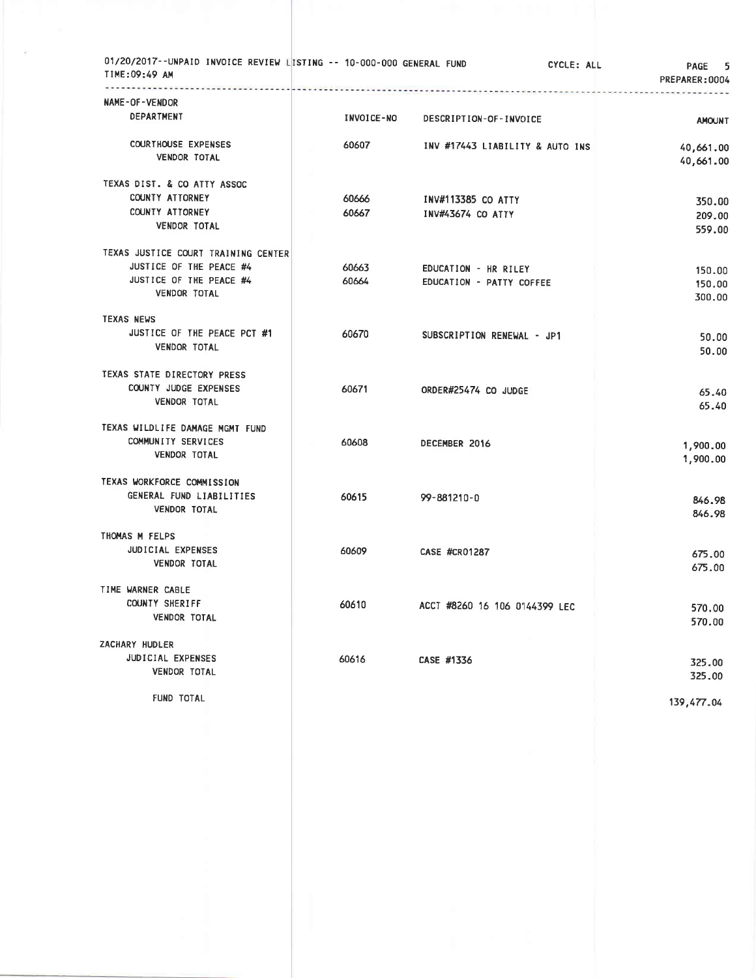| 01/20/2017--UNPAID INVOICE REVIEW LISTING -- 10-000-000 GENERAL FUND<br>TIME:09:49 AM<br>.                       |       |                |                                                  | CYCLE: ALL<br>5<br><b>PAGE</b><br>PREPARER: 0004 |
|------------------------------------------------------------------------------------------------------------------|-------|----------------|--------------------------------------------------|--------------------------------------------------|
| NAME-OF-VENDOR<br>DEPARTMENT                                                                                     |       | INVOICE-NO     | DESCRIPTION-OF-INVOICE                           | <b>AMOUNT</b>                                    |
| <b>COURTHOUSE EXPENSES</b><br><b>VENDOR TOTAL</b>                                                                |       | 60607          | INV #17443 LIABILITY & AUTO INS                  | 40,661.00<br>40,661.00                           |
| TEXAS DIST. & CO ATTY ASSOC<br>COUNTY ATTORNEY<br>COUNTY ATTORNEY<br>VENDOR TOTAL                                |       | 60666<br>60667 | INV#113385 CO ATTY<br><b>INV#43674 CO ATTY</b>   | 350.00<br>209.00<br>559.00                       |
| TEXAS JUSTICE COURT TRAINING CENTER<br>JUSTICE OF THE PEACE #4<br>JUSTICE OF THE PEACE #4<br><b>VENDOR TOTAL</b> |       | 60663<br>60664 | EDUCATION - HR RILEY<br>EDUCATION - PATTY COFFEE | 150.00<br>150.00<br>300.00                       |
| <b>TEXAS NEWS</b><br>JUSTICE OF THE PEACE PCT #1<br><b>VENDOR TOTAL</b>                                          |       | 60670          | SUBSCRIPTION RENEWAL - JP1                       | 50.00<br>50.00                                   |
| TEXAS STATE DIRECTORY PRESS<br>COUNTY JUDGE EXPENSES<br><b>VENDOR TOTAL</b>                                      | 60671 |                | ORDER#25474 CO JUDGE                             | 65.40<br>65.40                                   |
| TEXAS WILDLIFE DAMAGE MGMT FUND<br>COMMUNITY SERVICES<br><b>VENDOR TOTAL</b>                                     | 60608 |                | DECEMBER 2016                                    | 1,900.00<br>1,900.00                             |
| TEXAS WORKFORCE COMMISSION<br>GENERAL FUND LIABILITIES<br><b>VENDOR TOTAL</b>                                    | 60615 |                | 99-881210-0                                      | 846.98<br>846.98                                 |
| THOMAS M FELPS<br><b>JUDICIAL EXPENSES</b><br><b>VENDOR TOTAL</b>                                                | 60609 |                | <b>CASE #CR01287</b>                             | 675.00<br>675.00                                 |
| TIME WARNER CABLE<br>COUNTY SHERIFF<br><b>VENDOR TOTAL</b>                                                       | 60610 |                | ACCT #8260 16 106 0144399 LEC                    | 570.00<br>570.00                                 |
| ZACHARY HUDLER<br>JUDICIAL EXPENSES<br><b>VENDOR TOTAL</b>                                                       | 60616 |                | CASE #1336                                       | 325.00<br>325.00                                 |
| FUND TOTAL                                                                                                       |       |                |                                                  | 139,477.04                                       |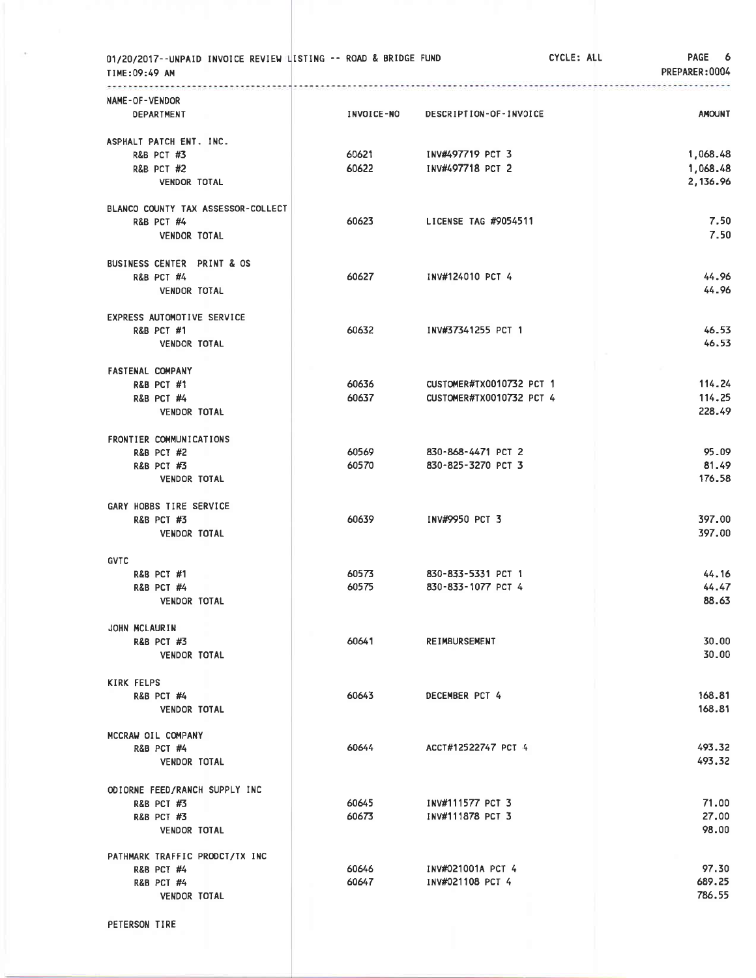| 01/20/2017--UNPAID INVOICE REVIEW LISTING -- ROAD & BRIDGE FUND<br>TIME:09:49 AM |                   |                          | CYCLE: ALL | PAGE 6<br>PREPARER: 0004 |
|----------------------------------------------------------------------------------|-------------------|--------------------------|------------|--------------------------|
| NAME-OF-VENDOR<br>DEPARTMENT                                                     | <b>INVOICE-NO</b> | DESCRIPTION-OF-INVOICE   |            | <b>AMOUNT</b>            |
| ASPHALT PATCH ENT. INC.                                                          |                   |                          |            |                          |
| R&B PCT #3                                                                       | 60621             | INV#497719 PCT 3         |            | 1,068.48                 |
| <b>R&amp;B PCT #2</b>                                                            | 60622             | INV#497718 PCT 2         |            | 1,068.48                 |
| <b>VENDOR TOTAL</b>                                                              |                   |                          |            | 2,136.96                 |
| BLANCO COUNTY TAX ASSESSOR-COLLECT                                               |                   |                          |            |                          |
| <b>R&amp;B PCT #4</b>                                                            | 60623             | LICENSE TAG #9054511     |            | 7.50                     |
| <b>VENDOR TOTAL</b>                                                              |                   |                          |            | 7.50                     |
| BUSINESS CENTER PRINT & OS                                                       |                   |                          |            |                          |
| <b>R&amp;B PCT #4</b>                                                            | 60627             | INV#124010 PCT 4         |            | 44.96                    |
| VENDOR TOTAL                                                                     |                   |                          |            | 44.96                    |
| EXPRESS AUTOMOTIVE SERVICE                                                       |                   |                          |            |                          |
| <b>R&amp;B PCT #1</b>                                                            | 60632             | INV#37341255 PCT 1       |            | 46.53<br>46.53           |
| <b>VENDOR TOTAL</b>                                                              |                   |                          |            |                          |
| <b>FASTENAL COMPANY</b>                                                          | 60636             | CUSTOMER#TX0010732 PCT 1 |            | 114.24                   |
| <b>R&amp;B PCT #1</b><br><b>R&amp;B PCT #4</b>                                   | 60637             | CUSTOMER#TX0010732 PCT 4 |            | 114.25                   |
| <b>VENDOR TOTAL</b>                                                              |                   |                          |            | 228.49                   |
|                                                                                  |                   |                          |            |                          |
| FRONTIER COMMUNICATIONS<br><b>R&amp;B PCT #2</b>                                 | 60569             | 830-868-4471 PCT 2       |            | 95.09                    |
| <b>R&amp;B PCT #3</b>                                                            | 60570             | 830-825-3270 PCT 3       |            | 81.49                    |
| <b>VENDOR TOTAL</b>                                                              |                   |                          |            | 176.58                   |
| GARY HOBBS TIRE SERVICE                                                          |                   |                          |            |                          |
| <b>R&amp;B PCT #3</b>                                                            | 60639             | INV#9950 PCT 3           |            | 397.00                   |
| <b>VENDOR TOTAL</b>                                                              |                   |                          |            | 397.00                   |
| <b>GVTC</b>                                                                      |                   |                          |            |                          |
| <b>R&amp;B PCT #1</b>                                                            | 60573             | 830-833-5331 PCT 1       |            | 44.16                    |
| R&B PCT #4                                                                       | 60575             | 830-833-1077 PCT 4       |            | 44.47                    |
| <b>VENDOR TOTAL</b>                                                              |                   |                          |            | 88.63                    |
| JOHN MCLAURIN                                                                    |                   |                          |            |                          |
| <b>R&amp;B PCT #3</b>                                                            | 60641             | <b>REIMBURSEMENT</b>     |            | 30.00                    |
| <b>VENDOR TOTAL</b>                                                              |                   |                          |            | 30.00                    |
| <b>KIRK FELPS</b>                                                                |                   |                          |            |                          |
| <b>R&amp;B PCT #4</b>                                                            | 60643             | DECEMBER PCT 4           |            | 168.81                   |
| <b>VENDOR TOTAL</b>                                                              |                   |                          |            | 168.81                   |
| MCCRAW OIL COMPANY<br><b>R&amp;B PCT #4</b>                                      | 60644             | ACCT#12522747 PCT 4      |            | 493.32                   |
| <b>VENDOR TOTAL</b>                                                              |                   |                          |            | 493.32                   |
|                                                                                  |                   |                          |            |                          |
| ODIORNE FEED/RANCH SUPPLY INC<br><b>R&amp;B PCT #3</b>                           | 60645             | INV#111577 PCT 3         |            | 71.00                    |
| <b>R&amp;B PCT #3</b>                                                            | 60673             | INV#111878 PCT 3         |            | 27,00                    |
| <b>VENDOR TOTAL</b>                                                              |                   |                          |            | 98.00                    |
| PATHMARK TRAFFIC PRODCT/TX INC                                                   |                   |                          |            |                          |
| <b>R&amp;B PCT #4</b>                                                            | 60646             | INV#021001A PCT 4        |            | 97.30                    |
| <b>R&amp;B PCT #4</b>                                                            | 60647             | INV#021108 PCT 4         |            | 689.25                   |
| <b>VENDOR TOTAL</b>                                                              |                   |                          |            | 786.55                   |
|                                                                                  |                   |                          |            |                          |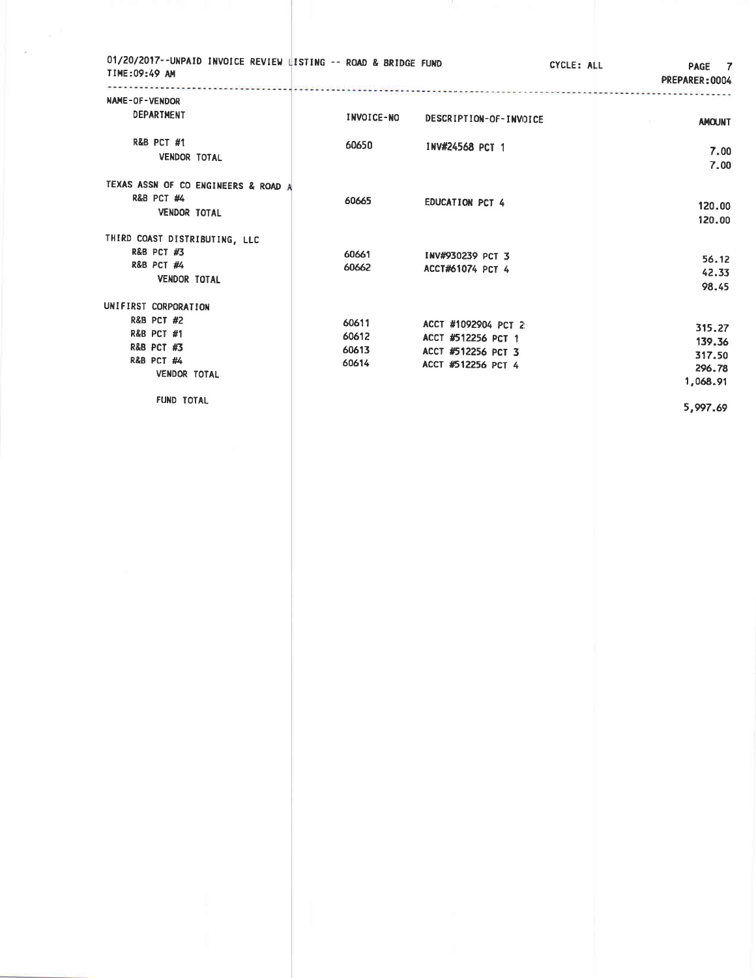| 01/20/2017--UNPAID INVOICE REVIEW LISTING -- ROAD & BRIDGE FUND<br>TIME:09:49 AM |                   |                        | CYCLE: ALL | PAGE 7<br>PREPARER: 0004    |
|----------------------------------------------------------------------------------|-------------------|------------------------|------------|-----------------------------|
| NAME-OF-VENDOR<br>DEPARTMENT                                                     |                   |                        |            |                             |
|                                                                                  | <b>INVOICE-NO</b> | DESCRIPTION-OF-INVOICE |            | <b>AMOUNT</b><br>Die stellt |
| R&B PCT #1                                                                       | 60650             | INV#24568 PCT 1        |            |                             |
| <b>VENDOR TOTAL</b>                                                              |                   |                        |            | 7.00<br>7.00                |
|                                                                                  |                   |                        |            |                             |
| TEXAS ASSN OF CO ENGINEERS & ROAD A                                              |                   |                        |            |                             |
| <b>R&amp;B PCT #4</b>                                                            | 60665             | <b>EDUCATION PCT 4</b> |            | 120.00                      |
| <b>VENDOR TOTAL</b>                                                              |                   |                        |            | 120.00                      |
| THIRD COAST DISTRIBUTING, LLC                                                    |                   |                        |            |                             |
| <b>R&amp;B PCT #3</b>                                                            | 60661             | INV#930239 PCT 3       |            |                             |
| <b>R&amp;B PCT #4</b>                                                            | 60662             | ACCT#61074 PCT 4       |            | 56.12<br>42.33              |
| <b>VENDOR TOTAL</b>                                                              |                   |                        |            | 98.45                       |
|                                                                                  |                   |                        |            |                             |
| UNIFIRST CORPORATION                                                             |                   |                        |            |                             |
| <b>R&amp;B PCT #2</b><br><b>R&amp;B PCT #1</b>                                   | 60611             | ACCT #1092904 PCT 2    |            | 315.27                      |
| <b>R&amp;B PCT #3</b>                                                            | 60612             | ACCT #512256 PCT 1     |            | 139.36                      |
| R&B PCT #4                                                                       | 60613             | ACCT #512256 PCT 3     |            | 317.50                      |
| <b>VENDOR TOTAL</b>                                                              | 60614             | ACCT #512256 PCT 4     |            | 296.78                      |
|                                                                                  |                   |                        |            | 1,068.91                    |
| FUND TOTAL                                                                       |                   |                        |            |                             |
|                                                                                  |                   |                        |            | 5,997.69                    |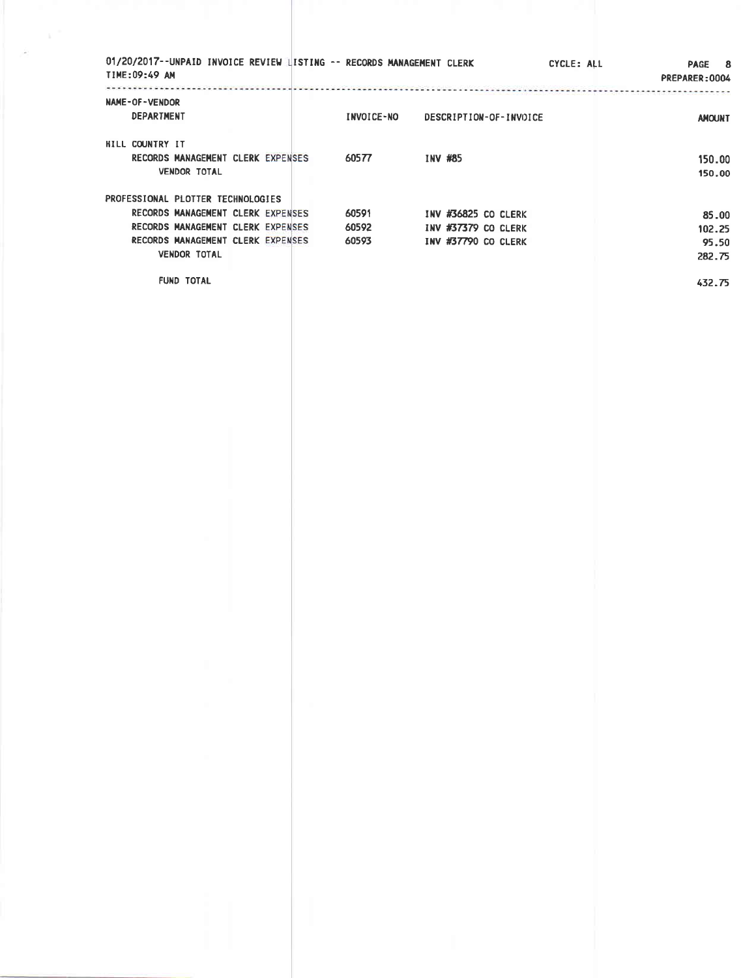| TIME:09:49 AM                     |                                             |                                                                                                             |                         |                                                                   | CYCLE: ALL       | PAGE 8<br>PREPARER: 0004             |
|-----------------------------------|---------------------------------------------|-------------------------------------------------------------------------------------------------------------|-------------------------|-------------------------------------------------------------------|------------------|--------------------------------------|
| NAME-OF-VENDOR<br>DEPARTMENT      |                                             |                                                                                                             | <b>INVOICE-NO</b>       | DESCRIPTION-OF-INVOICE                                            |                  | -------------------<br><b>AMOUNT</b> |
| HILL COUNTRY IT                   | <b>VENDOR TOTAL</b>                         | RECORDS MANAGEMENT CLERK EXPENSES                                                                           | 60577                   | INV #85                                                           |                  | 150.00<br>150.00                     |
| PROFESSIONAL PLOTTER TECHNOLOGIES |                                             |                                                                                                             |                         |                                                                   |                  |                                      |
|                                   | <b>VENDOR TOTAL</b>                         | RECORDS MANAGEMENT CLERK EXPENSES<br>RECORDS MANAGEMENT CLERK EXPENSES<br>RECORDS MANAGEMENT CLERK EXPENSES | 60591<br>60592<br>60593 | INV #36825 CO CLERK<br>INV #37379 CO CLERK<br>INV #37790 CO CLERK |                  | 85.00<br>102.25<br>95.50<br>282.75   |
|                                   | <b>FUND TOTAL</b>                           |                                                                                                             |                         |                                                                   |                  | 432.75                               |
|                                   |                                             |                                                                                                             |                         |                                                                   |                  |                                      |
|                                   |                                             |                                                                                                             |                         |                                                                   |                  |                                      |
|                                   |                                             |                                                                                                             |                         |                                                                   |                  |                                      |
|                                   |                                             |                                                                                                             |                         |                                                                   |                  |                                      |
|                                   |                                             |                                                                                                             |                         |                                                                   |                  |                                      |
|                                   |                                             |                                                                                                             |                         |                                                                   |                  |                                      |
|                                   |                                             |                                                                                                             |                         |                                                                   |                  |                                      |
|                                   |                                             |                                                                                                             |                         |                                                                   |                  |                                      |
|                                   |                                             |                                                                                                             |                         |                                                                   |                  |                                      |
|                                   |                                             |                                                                                                             |                         |                                                                   |                  |                                      |
|                                   |                                             |                                                                                                             |                         |                                                                   |                  |                                      |
|                                   | <b>Contract</b><br><b>Contract Contract</b> | <b>COLL</b>                                                                                                 |                         |                                                                   | - 11             |                                      |
|                                   |                                             |                                                                                                             |                         |                                                                   |                  |                                      |
|                                   | <b>COLL</b>                                 |                                                                                                             |                         |                                                                   |                  |                                      |
|                                   |                                             |                                                                                                             |                         |                                                                   |                  |                                      |
|                                   |                                             |                                                                                                             |                         |                                                                   |                  |                                      |
|                                   |                                             |                                                                                                             |                         |                                                                   | $\sim$ 100 $\pm$ |                                      |
|                                   |                                             |                                                                                                             |                         |                                                                   |                  |                                      |
|                                   |                                             |                                                                                                             |                         |                                                                   |                  |                                      |
|                                   |                                             |                                                                                                             |                         |                                                                   |                  |                                      |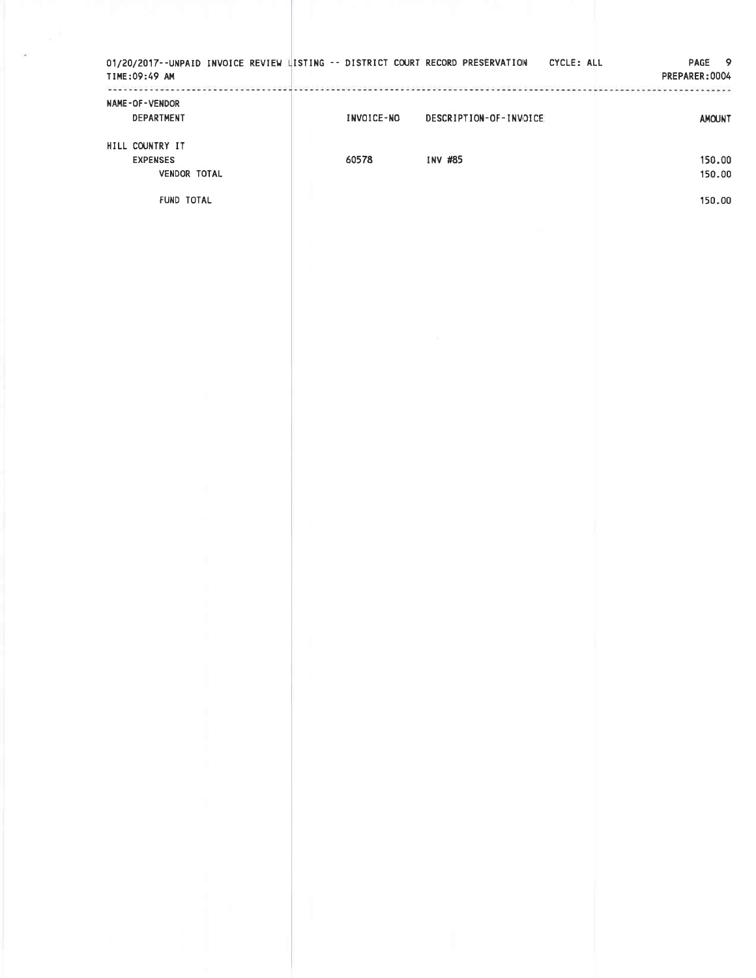| NAME-OF-VENDOR<br>DEPARTMENT    | INVOICE-NO | DESCRIPTION-OF-INVOICE | <br><b>AMOUNT</b> |
|---------------------------------|------------|------------------------|-------------------|
| HILL COUNTRY IT                 |            |                        |                   |
| <b>EXPENSES</b><br>VENDOR TOTAL | 60578      | INV #85                | 150.00<br>150.00  |
| FUND TOTAL                      |            |                        | 150.00            |
|                                 |            |                        |                   |
|                                 |            |                        |                   |
|                                 |            |                        |                   |
|                                 |            |                        |                   |
|                                 |            |                        |                   |
|                                 |            |                        |                   |
|                                 |            |                        |                   |
|                                 |            |                        |                   |
|                                 |            |                        |                   |
|                                 |            |                        |                   |
|                                 |            |                        |                   |
|                                 |            |                        |                   |
|                                 |            |                        |                   |
|                                 |            |                        |                   |
|                                 |            |                        |                   |
| $\mathbb{R}^n$                  | ٠          | H.                     |                   |
|                                 |            |                        |                   |
|                                 |            |                        |                   |
|                                 |            |                        |                   |
| I<br>$\mathcal{H}$              |            |                        |                   |
|                                 |            |                        |                   |
| <b>Contract</b>                 |            |                        |                   |
|                                 |            |                        |                   |
|                                 |            |                        |                   |
|                                 |            |                        |                   |
| $\sim$                          |            |                        |                   |
|                                 | n          |                        |                   |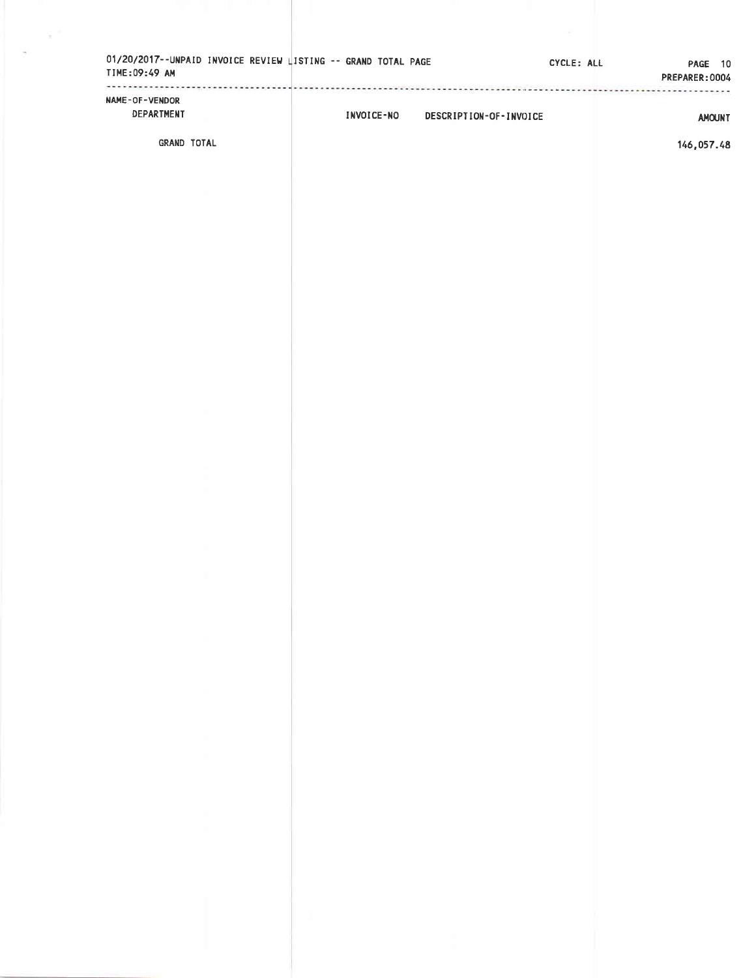|                                 |                                   | PREPARER:0004 |
|---------------------------------|-----------------------------------|---------------|
| NAME-OF-VENDOR<br>DEPARTMENT    | INVOICE-NO DESCRIPTION-OF-INVOICE | <b>AMOUNT</b> |
| GRAND TOTAL                     |                                   | 146,057.48    |
|                                 |                                   |               |
|                                 |                                   |               |
|                                 |                                   |               |
|                                 |                                   |               |
|                                 |                                   |               |
|                                 |                                   |               |
|                                 |                                   |               |
|                                 |                                   |               |
|                                 |                                   |               |
|                                 |                                   |               |
|                                 |                                   |               |
|                                 |                                   |               |
|                                 |                                   |               |
|                                 |                                   |               |
| <b>Contract</b>                 |                                   |               |
|                                 |                                   |               |
| and the con-                    |                                   |               |
|                                 |                                   |               |
| <b>Contract</b><br>and the con- |                                   |               |
|                                 |                                   |               |
| and the con-<br>and the con-    |                                   |               |
|                                 |                                   |               |
|                                 |                                   |               |
|                                 |                                   | - 11          |

 $\chi^{-1}$  .

 $\bar{\alpha}$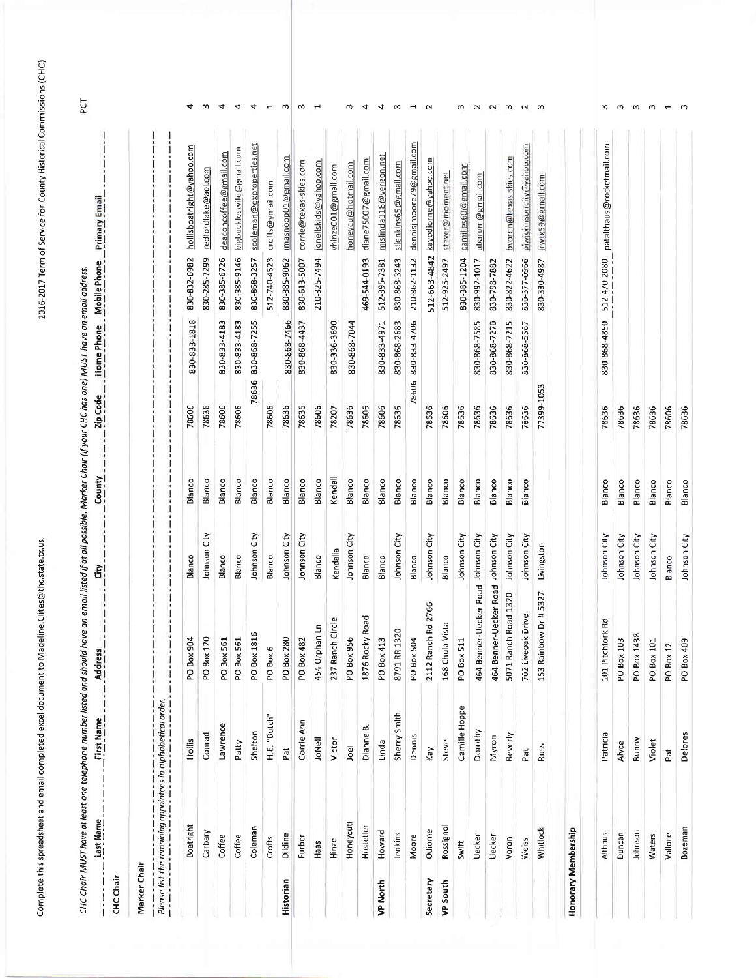Complete this spreadsheet and email completed excel document to Madeline. Clites@thc.state.tx.us,

2016-2017 Term of Service for County Historical Commissions (CHC)

|                     | Last Name                                                   | CHC Choir MUST have at least one telephone number listed and should have an email listed if at all possible. Marker Chair (if your CHC has one) MUST have an email address.<br>First Name | Address                             | ້ອົ          | County  | Zip Code   | Home Phone   | Mobile Phone | <b>Primary Email</b>      |                |
|---------------------|-------------------------------------------------------------|-------------------------------------------------------------------------------------------------------------------------------------------------------------------------------------------|-------------------------------------|--------------|---------|------------|--------------|--------------|---------------------------|----------------|
| CHC Chair           |                                                             |                                                                                                                                                                                           |                                     |              |         |            |              |              |                           |                |
| Marker Chair        |                                                             |                                                                                                                                                                                           |                                     |              |         |            |              |              |                           |                |
|                     | Please list the remaining appointees in alphabetical order. |                                                                                                                                                                                           |                                     |              |         |            |              |              |                           |                |
|                     | Boatright                                                   | Hollis                                                                                                                                                                                    | PO Box 904                          | Blanco       | Blanco  | 78606      | 830-833-1818 | 830-832-6982 | hollisboatright@yahoo.com | 4              |
|                     | Carbary                                                     | Conrad                                                                                                                                                                                    | PO Box 120                          | Johnson City | Blanco  | 78636      |              | 830-285-7299 | redfordlake@aol.com       | m              |
|                     | Coffee                                                      | Lawrence                                                                                                                                                                                  | PO Box 561                          | Blanco       | Blanco  | 78606      | 830-833-4183 | 830-385-6726 | deaconcoffee@gmail.com    | 4              |
|                     | Coffee                                                      | Patty                                                                                                                                                                                     | PO Box 561                          | Blanco       | Blanco  | 78606      | 830-833-4183 | 830-385-9146 | bigbuckleswife@gmail.com  | 4              |
|                     | Coleman                                                     | Shelton                                                                                                                                                                                   | 816<br>PO Box 1                     | Johnson City | Blanco  | 78636      | 830-868-7255 | 830-868-3257 | scoleman@dxproperties.net | 4              |
|                     | Crofts                                                      | H.E. "Butch"                                                                                                                                                                              | PO Box 6                            | Blanco       | Blanco  | 78606      |              | 512-740-4523 | crofts@ymail.com          | $\blacksquare$ |
| Historian           | Dildine                                                     | Pat                                                                                                                                                                                       | PO Box 280                          | Johnson City | Blanco  | 78636      | 830-868-7466 | 830-385-9062 | imasnoop01@gmail.com      | m              |
|                     | Furber                                                      | Corrie Ann                                                                                                                                                                                | PO Box 482                          | Johnson City | Blanco  | 78636      | 830-868-4437 | 830-613-5007 | corrie@texas-skies.com    | m              |
|                     | Haas                                                        | JoNell                                                                                                                                                                                    | 454 Orphan Ln                       | Blanco       | Blanco  | 78606      |              | 210-325-7494 | jonellskids@yahoo.com     | $\blacksquare$ |
|                     | Hinze                                                       | Victor                                                                                                                                                                                    | 237 Ranch Circle                    | Kendalia     | Kendall | 78207      | 830-336-3690 |              | vhinze001@gmail.com       |                |
|                     | Honeycutt                                                   | Joel                                                                                                                                                                                      | PO Box 956                          | Johnson City | Blanco  | 78636      | 830-868-7044 |              | honeycu@hotmail.com       | m              |
|                     | Hostetler                                                   | $\mathbf{m}$<br>Dianne                                                                                                                                                                    | 1876 Rocky Road                     | Blanco       | Blanco  | 78606      |              | 469-544-0193 | diane75007@gmail.com      | 4              |
| VP North            | Howard                                                      | Linda                                                                                                                                                                                     | PO Box 413                          | Blanco       | Blanco  | 78606      | 830-833-4971 | 512-395-7381 | mislinda 118@verizon.net  | 4              |
|                     | Jenkins                                                     | Sherry Smith                                                                                                                                                                              | 1320<br>8791 RR                     | Johnson City | Blanco  | 78636      | 830-868-2683 | 830-868-3243 | sljenkins65@gmail.com     | S              |
|                     | Moore                                                       | Dennis                                                                                                                                                                                    | PO Box 504                          | Blanco       | Blanco  | 78606      | 830-833-4706 | 210-862-1132 | dennisimoore79@gmail.com  | $\mathbf -$    |
| Secretary           | Odiorne                                                     | Kay                                                                                                                                                                                       | 2112 Ranch Rd 2766                  | Johnson City | Blanco  | 78636      |              | 512-663-4842 | kayodiorne@yahoo.com      | $\sim$         |
| <b>VP South</b>     | Rossignol                                                   | Steve                                                                                                                                                                                     | 168 Chula Vista                     | Blanco       | Blanco  | 78606      |              | 512-925-2497 | stever@moment.net         |                |
|                     | Swift                                                       | Camille Hoppe                                                                                                                                                                             | PO Box 511                          | Johnson City | Blanco  | 78636      |              | 830-385-1204 | camilles60@gmail.com      | w              |
|                     | Uecker                                                      | Dorothy                                                                                                                                                                                   | 464 Benner-Uecker Road Johnson City |              | Blanco  | 78636      | 830-868-7585 | 830-992-1017 | ubarum@gmail.com          | $\sim$         |
|                     | Uecker                                                      | Myron                                                                                                                                                                                     | 464 Benner-Uecker Road Johnson City |              | Blanco  | 78636      | 830-868-7270 | 830-798-7882 |                           | $\sim$         |
|                     | Voron                                                       | Beverly                                                                                                                                                                                   | 5071 Ranch Road 1320                | Johnson City | Blanco  | 78636      | 830-868-7215 | 830-822-4622 | bvoron@texas-skies.com    | m              |
|                     | Weiss                                                       | Pai                                                                                                                                                                                       | 702 Liveoak Drive                   | Johnson City | Bianco  | 78636      | 830-868-5567 | 830-377-0966 | piwjohnsoncity@yanoo.com  | $\sim$         |
|                     | Whitlock                                                    | Russ                                                                                                                                                                                      | bow Dr #5327<br>153 Rain            | Livingston   |         | 77399-1053 |              | 830-330-4987 | irwtx59@gmail.com         | ണ              |
| Honorary Membership |                                                             |                                                                                                                                                                                           |                                     |              |         |            |              |              |                           |                |
|                     | Althaus                                                     | Patricia                                                                                                                                                                                  | 101 Pitchfork Rd                    | Johnson City | Blanco  | 78636      | 830-868-4850 | 512-470-2080 | patalthaus@rocketmail.com | w              |
|                     | Duncan                                                      | Alyce                                                                                                                                                                                     | PO Box 103                          | Johnson City | Blanco  | 78636      |              |              |                           | m              |
|                     | Johnson                                                     | Bunny                                                                                                                                                                                     | PO Box 1438                         | Johnson City | Blanco  | 78636      |              |              |                           | ണ              |
|                     | Waters                                                      | Violet                                                                                                                                                                                    | PO Box 101                          | Johnson City | Blanco  | 78636      |              |              |                           | m              |
|                     | Vallone                                                     | Pat                                                                                                                                                                                       | PO Box 12                           | Blanco       | Blanco  | 78606      |              |              |                           |                |

 $\omega$ 

78636

Blanco

Johnson City

PO Box 409

Delores

Bozeman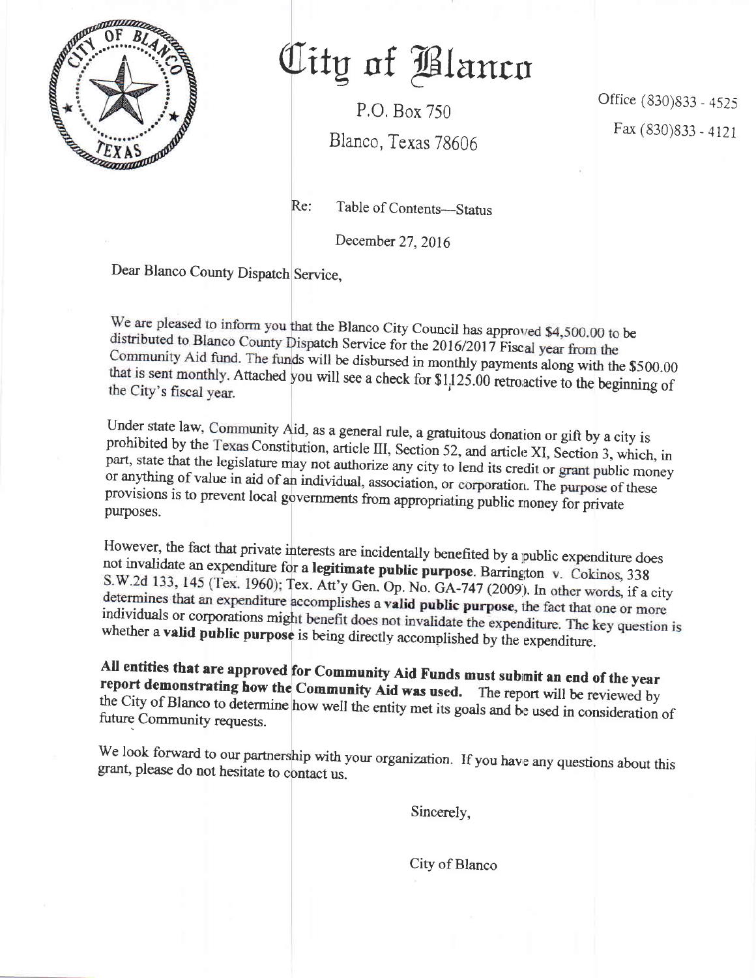

## Oity of Blanco

P,O, Box 750

Blanco, Texas 78606

Office (830)833 - 4525 Fax (830) 833 - 4121

Re: Table of Contents—Status

December 27.2016

Dear Blanco County Dispatch Service,

We are pleased to inform you that the Blanco City Council has approved \$4,500.00 to be distributed to Blanco County Dispatch Service for the 2016/2017 Fiscal year from the Community Aid fund. The funds will be disbursed in monthly payments along with the \$500.00 Attached you will see a check for  $\frac{11}{25.00}$  retroactive to the beginning of

Under state law, Community Aid, as a general rule, a gratuitous donation or gift by a city is prohibited by the Texas Constitution, article III, Section 52, and article XI, Section 3, which, in part, state that the legisla prohibited by the Texas Constitution, article III, Section 52, and article XI, Section 3, which, in or anything of value in aid of an individual, association, or corporation. The purpose of these provisions is to prevent local governments from appropriating public money for private purposes.

However, the fact that private interests are incidentally benefited by a public expenditure does not invalidate an expenditure for a legitimate public purpose. Barrington v. Cokinos, 338 S.W.2d 133, 145 (Tex. 1960); Tex. Att'y Gen. Op. No. GA-747 (2009). In other words, if a city determines that an expenditure accomplishes a **valid public purpose**, the fact that one or more individuals or corporations might benefit does not invalidate the expenditure. The key question is whether a valid public purpose is being directly accomplished by the expenditure.

All entities that are approved for Community Aid Funds must submit an end of the year<br>report demonstrating how the Community Aid was used. The report will be reviewed by<br>the City of Blanco to determine how well the entity

We look forward to our partnership with your organization. If you have any questions about this grant, please do not hesitate to contact us.

Sincerely,

City of Blanco